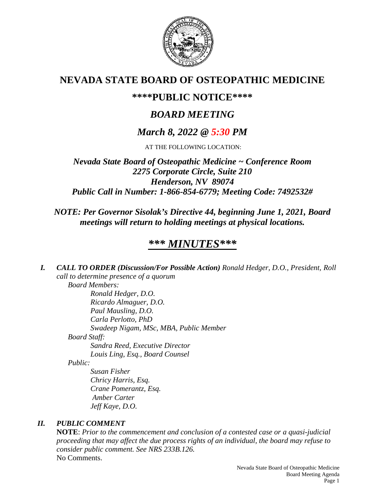

# **NEVADA STATE BOARD OF OSTEOPATHIC MEDICINE**

# **\*\*\*\*PUBLIC NOTICE\*\*\*\***

# *BOARD MEETING*

# *March 8, 2022 @ 5:30 PM*

AT THE FOLLOWING LOCATION:

*Nevada State Board of Osteopathic Medicine ~ Conference Room 2275 Corporate Circle, Suite 210 Henderson, NV 89074 Public Call in Number: 1-866-854-6779; Meeting Code: 7492532#*

*NOTE: Per Governor Sisolak's Directive 44, beginning June 1, 2021, Board meetings will return to holding meetings at physical locations.*

# *\*\*\* MINUTES\*\*\**

*I. CALL TO ORDER (Discussion/For Possible Action) Ronald Hedger, D.O., President, Roll call to determine presence of a quorum Board Members: Ronald Hedger, D.O. Ricardo Almaguer, D.O. Paul Mausling, D.O. Carla Perlotto, PhD Swadeep Nigam, MSc, MBA, Public Member Board Staff: Sandra Reed, Executive Director Louis Ling, Esq., Board Counsel Public: Susan Fisher*

*Chricy Harris, Esq. Crane Pomerantz, Esq. Amber Carter Jeff Kaye, D.O.*

## *II. PUBLIC COMMENT*

**NOTE**: *Prior to the commencement and conclusion of a contested case or a quasi-judicial proceeding that may affect the due process rights of an individual, the board may refuse to consider public comment. See NRS 233B.126.* No Comments.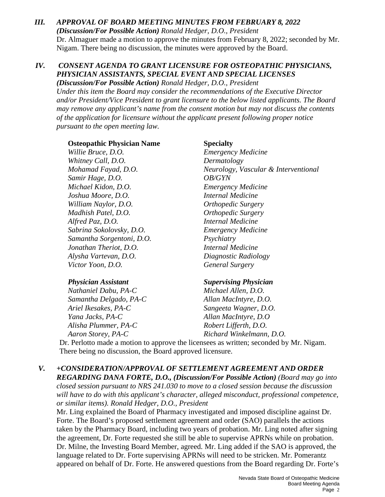## *III. APPROVAL OF BOARD MEETING MINUTES FROM FEBRUARY 8, 2022 (Discussion/For Possible Action) Ronald Hedger, D.O., President* Dr. Almaguer made a motion to approve the minutes from February 8, 2022; seconded by Mr. Nigam. There being no discussion, the minutes were approved by the Board.

## *IV. CONSENT AGENDA TO GRANT LICENSURE FOR OSTEOPATHIC PHYSICIANS, PHYSICIAN ASSISTANTS, SPECIAL EVENT AND SPECIAL LICENSES*

*(Discussion/For Possible Action) Ronald Hedger, D.O., President Under this item the Board may consider the recommendations of the Executive Director and/or President/Vice President to grant licensure to the below listed applicants. The Board may remove any applicant's name from the consent motion but may not discuss the contents of the application for licensure without the applicant present following proper notice pursuant to the open meeting law.*

### **Osteopathic Physician Name Specialty**

*Willie Bruce, D.O. Emergency Medicine Whitney Call, D.O. Dermatology Samir Hage, D.O. OB/GYN Michael Kidon, D.O. Emergency Medicine Joshua Moore, D.O. Internal Medicine William Naylor, D.O. Orthopedic Surgery Madhish Patel, D.O. Orthopedic Surgery Alfred Paz, D.O. Internal Medicine Sabrina Sokolovsky, D.O. Emergency Medicine Samantha Sorgentoni, D.O. Psychiatry Jonathan Theriot, D.O. Internal Medicine Alysha Vartevan, D.O. Diagnostic Radiology Victor Yoon, D.O. General Surgery*

*Nathaniel Dabu, PA-C Michael Allen, D.O. Samantha Delgado, PA-C Allan MacIntyre, D.O. Ariel Ikesakes, PA-C Sangeeta Wagner, D.O. Yana Jacks, PA-C Allan MacIntyre, D.O Alisha Plummer, PA-C Robert Lifferth, D.O.*

*Mohamad Fayad, D.O. Neurology, Vascular & Interventional*

### *Physician Assistant Supervising Physician*

*Aaron Storey, PA-C Richard Winkelmann, D.O.*

Dr. Perlotto made a motion to approve the licensees as written; seconded by Mr. Nigam. There being no discussion, the Board approved licensure.

## *V. +CONSIDERATION/APPROVAL OF SETTLEMENT AGREEMENT AND ORDER*

*REGARDING DANA FORTE, D.O., (Discussion/For Possible Action) (Board may go into closed session pursuant to NRS 241.030 to move to a closed session because the discussion will have to do with this applicant's character, alleged misconduct, professional competence, or similar items). Ronald Hedger, D.O., President*

Mr. Ling explained the Board of Pharmacy investigated and imposed discipline against Dr. Forte. The Board's proposed settlement agreement and order (SAO) parallels the actions taken by the Pharmacy Board, including two years of probation. Mr. Ling noted after signing the agreement, Dr. Forte requested she still be able to supervise APRNs while on probation. Dr. Milne, the Investing Board Member, agreed. Mr. Ling added if the SAO is approved, the language related to Dr. Forte supervising APRNs will need to be stricken. Mr. Pomerantz appeared on behalf of Dr. Forte. He answered questions from the Board regarding Dr. Forte's